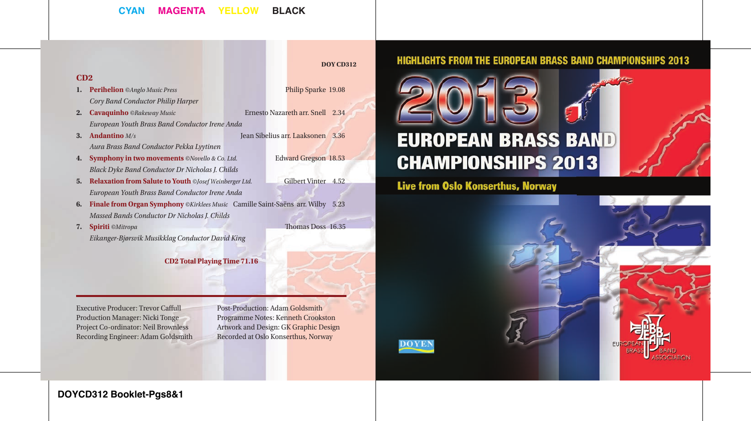#### **DOY CD312**

**1. Perihelion** ©Anglo Music Press Philip Sparke 19.08

**2. Cavaquinho**  $@Rakeway Music$  Ernesto Nazareth arr. Snell 2.34

**3. Andantino** *M/s* Jean Sibelius arr. Laaksonen 3.36  *Aura Brass Band Conductor Pekka Lyytinen* 

 *European Youth Brass Band Conductor Irene Anda*

 *Cory Band Conductor Philip Harper*

**CD2**

- **4. Symphony in two movements**  $@Nowello & Co. Ltd.$  Edward Gregson 18.53  *Black Dyke Band Conductor Dr Nicholas J. Childs*
- **5. Relaxation from Salute to Youth** *©Josef Weinberger Ltd.* Gilbert Vinter 4.52  *European Youth Brass Band Conductor Irene Anda*
- **6. Finale from Organ Symphony** *©Kirklees Music* Camille Saint-Saëns arr. Wilby 5.23  *Massed Bands Conductor Dr Nicholas J. Childs*
- **7. Spiriti** ©Mitropa **Thomas Doss 16.35**  *Eikanger-Bjørsvik Musikklag Conductor David King*

**CD2 Total Playing Time 71.16**

Executive Producer: Trevor Caffull Production Manager: Nicki Tonge Project Co-ordinator: Neil Brownless Recording Engineer: Adam Goldsmith

Post-Production: Adam Goldsmith Programme Notes: Kenneth Crookston Artwork and Design: GK Graphic Design Recorded at Oslo Konserthus, Norway

## **HIGHLIGHTS FROM THE EUROPEAN BRASS BAND CHAMPIONSHIPS 2013**







# **Live from Oslo Konserthus, Norway**

**CHAMPIONSHIPS 2013** 





**DOYCD312 Booklet-Pgs8&1**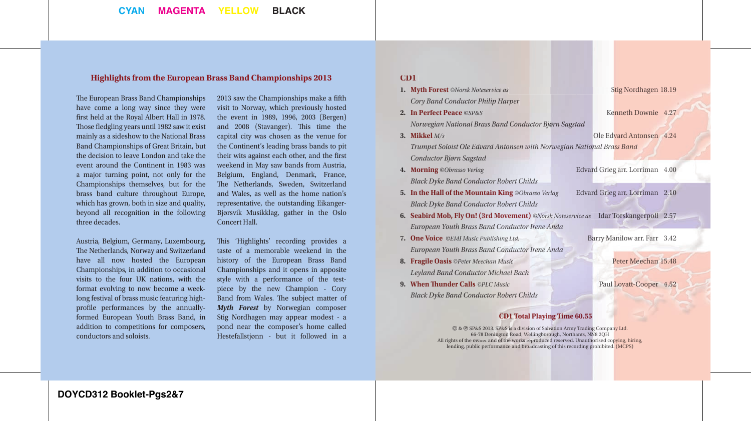#### **Highlights from the European Brass Band Championships 2013**

The European Brass Band Championships have come a long way since they were first held at the Royal Albert Hall in 1978. Those fledgling years until 1982 saw it exist mainly as a sideshow to the National Brass Band Championships of Great Britain, but the decision to leave London and take the event around the Continent in 1983 was a major turning point, not only for the Championships themselves, but for the brass band culture throughout Europe, which has grown, both in size and quality, beyond all recognition in the following three decades.

Austria, Belgium, Germany, Luxembourg, The Netherlands, Norway and Switzerland have all now hosted the European Championships, in addition to occasional visits to the four UK nations, with the format evolving to now become a weeklong festival of brass music featuring highprofile performances by the annuallyformed European Youth Brass Band, in addition to competitions for composers, conductors and soloists.

2013 saw the Championships make a fifth visit to Norway, which previously hosted the event in 1989, 1996, 2003 (Bergen) and 2008 (Stavanger). This time the capital city was chosen as the venue for the Continent's leading brass bands to pit their wits against each other, and the first weekend in May saw bands from Austria, Belgium, England, Denmark, France, The Netherlands, Sweden, Switzerland and Wales, as well as the home nation's representative, the outstanding Eikanger-Bjørsvik Musikklag, gather in the Oslo Concert Hall.

This 'Highlights' recording provides a taste of a memorable weekend in the history of the European Brass Band Championships and it opens in apposite style with a performance of the testpiece by the new Champion - Cory Band from Wales. The subject matter of *Myth Forest* by Norwegian composer Stig Nordhagen may appear modest - a pond near the composer's home called Hestefallstjønn - but it followed in a

### **CD1**

- **1. Myth Forest** ©Norsk Noteservice as Stig Nordhagen 18.19  *Cory Band Conductor Philip Harper*
- **2. In Perfect Peace** ©SP&S *N CONS CONS CONS CONS CONS CONS CONS CONS CONS CONS CONS CONS CONS CONS CONS CONS CONS CONS CONS CONS CONS* 
	- *Norwegian National Brass Band Conductor Bjørn Sagstad*
- 
- *Trumpet Soloist Ole Edvard Antonsen with Norwegian National Brass Band Conductor Bjørn Sagstad*
- *Black Dyke Band Conductor Robert Childs Robert* **4. Morning** ©Obrasso Verlag
- **5. In the Hall of the Mountain King** *©Obrasso Verlag* **b** Edvard Grieg arr. Lorriman 2.10  *Black Dyke Band Conductor Robert Childs*
- **6. Seabird Mob, Fly On! (3rd Movement)** ©Norsk Noteservice as Idar Torskangerpoll 2.57  *European Youth Brass Band Conductor Irene Anda European Brass Conductor Irene*
- **7. One Voice** ©*EMI Music Publishing Ltd.* Barry Manilow arr. Farr **3.42** *European Youth Brass Band Conductor Irene Anda*<br> **8. Fragile Oasis** ©Peter Meechan Music
- **8. Fragile Oasis** *©Peter Meechan Music*Peter Meechan 15.48  *Leyland Band Conductor Michael Bach Leyland*
- **9. When Thunder Calls**  $@PLC$  *Music* **Paul Lovatt-Cooper 4.52**  *Black Dyke Band Conductor Robert Childs ConductorRobert*

#### **CD1 Total Playing Time 60.55 CD1 PlayingTime 6 0.55**

© & © SP&S 2013. SP&S is a division of Salvation Army Trading Company Ltd. 66-78 Denington Road, Wellingborough, Northants, NN8 2QH All rights of the owner and of the works reproduced reserved. Unauthorised copying, hiring, lending, public performance and broadcasting of this recording prohibited. (MCPS) **Example 2018 CoryBand Conductor Philip Harper CoryBand Conductor Philip Harper CoryBand Conductor Bjørn Sagstad Mikkel** *M/s* **Corresponding Conductor Biggers Band Conductor Bjørn Sagstad <b>Mikkel** *M/s* **Conductor** 

**3. Mikkel** *M/s* **COLE Edvard Antonsen 4.24** 

**Edvard Grieg arr. Lorriman 4.00**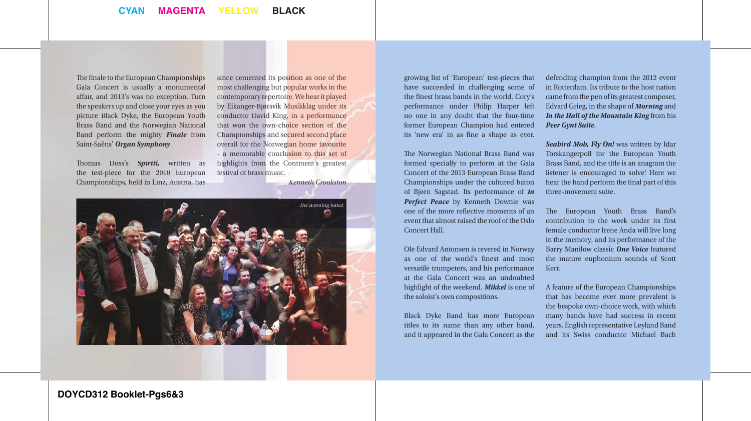The finale to the European Championships The finale to the European Championships<br>Gala Concert is usually a monumental affair, and 2013's was no exception. Turn affair, and 2013's was no exception. Turn<br>the speakers up and close your eyes as you picture Black Dyke, the European Youth Brass Band and the Norwegian National the Band perform the mighty *Finale* from Saint-Saëns' *Organ Symphony*. Saint-Saëns' *Symphony*

Thomas Doss's **S***piriti,* written as the test-piece for the 2010 European Championships, held in Linz, Austria, has has

since cemented its position as one of the most challenging but popular works in the contemporary repertoire. We hear it played by Eikanger-Bjørsvik Musikklag under its conductor David King, in a performance that won the own-choice section of the Championships and secured second place overall for the Norwegian home favourite - a memorable conclusion to this set of highlights from the Continent's greatest festival of brass music. festival brass

*Kenneth Crookston*



growing list of 'European' test-pieces that have succeeded in challenging some of the finest brass bands in the world. Cory's performance under Philip Harper left no one in any doubt that the four-time former European Champion had entered its 'new era' in as fine a shape as ever.

The Norwegian National Brass Band was formed specially to perform at the Gala Concert of the 2013 European Brass Band Championships under the cultured baton of Bjørn Sagstad. Its performance of *In Perfect Peace* by Kenneth Downie was one of the more reflective moments of an event that almost raised the roof of the Oslo Concert Hall.

Ole Edvard Antonsen is revered in Norway as one of the world's finest and most versatile trumpeters, and his performance at the Gala Concert was an undoubted highlight of the weekend. *Mikkel* is one of the soloist's own compositions.

Black Dyke Band has more European titles to its name than any other band, and it appeared in the Gala Concert as the defending champion from the 2012 event in Rotterdam. Its tribute to the host nation came from the pen of its greatest composer, Edvard Grieg, in the shape of *Morning* and *In the Hall of the Mountain King* from his *Peer Gynt Suite*.

*Seabird Mob, Fly On!* was written by Idar Torskangerpoll for the European Youth Brass Band, and the title is an anagram the listener is encouraged to solve! Here we hear the band perform the final part of this three-movement suite.

The European Youth Brass Band's contribution to the week under its first female conductor Irene Anda will live long in the memory, and its performance of the Barry Manilow classic *One Voice* featured the mature euphonium sounds of Scott Kerr.

A feature of the European Championships that has become ever more prevalent is the bespoke own-choice work, with which many bands have had success in recent years. English representative Leyland Band and its Swiss conductor Michael Bach

### **DOYCD312 Booklet-Pgs6&3**